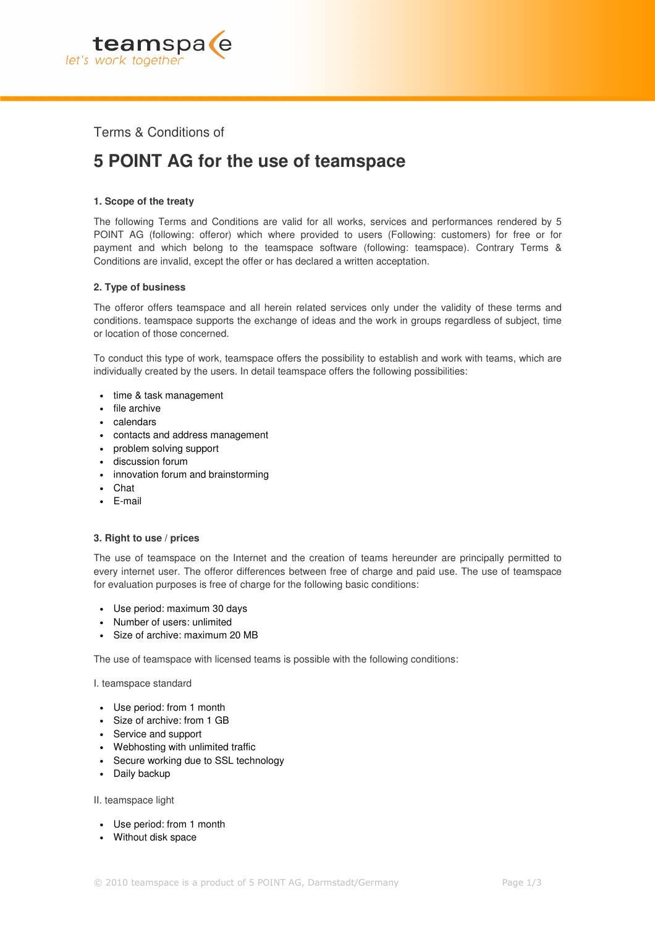

Terms & Conditions of

# **5 POINT AG for the use of teamspace**

# **1. Scope of the treaty**

The following Terms and Conditions are valid for all works, services and performances rendered by 5 POINT AG (following: offeror) which where provided to users (Following: customers) for free or for payment and which belong to the teamspace software (following: teamspace). Contrary Terms & Conditions are invalid, except the offer or has declared a written acceptation.

# **2. Type of business**

The offeror offers teamspace and all herein related services only under the validity of these terms and conditions. teamspace supports the exchange of ideas and the work in groups regardless of subject, time or location of those concerned.

To conduct this type of work, teamspace offers the possibility to establish and work with teams, which are individually created by the users. In detail teamspace offers the following possibilities:

- time & task management
- file archive
- calendars
- contacts and address management
- problem solving support
- discussion forum
- innovation forum and brainstorming
- Chat
- E-mail

### **3. Right to use / prices**

The use of teamspace on the Internet and the creation of teams hereunder are principally permitted to every internet user. The offeror differences between free of charge and paid use. The use of teamspace for evaluation purposes is free of charge for the following basic conditions:

- Use period: maximum 30 days
- Number of users: unlimited
- Size of archive: maximum 20 MB

The use of teamspace with licensed teams is possible with the following conditions:

I. teamspace standard

- Use period: from 1 month
- Size of archive: from 1 GB
- Service and support
- Webhosting with unlimited traffic
- Secure working due to SSL technology
- Daily backup

II. teamspace light

- Use period: from 1 month
- Without disk space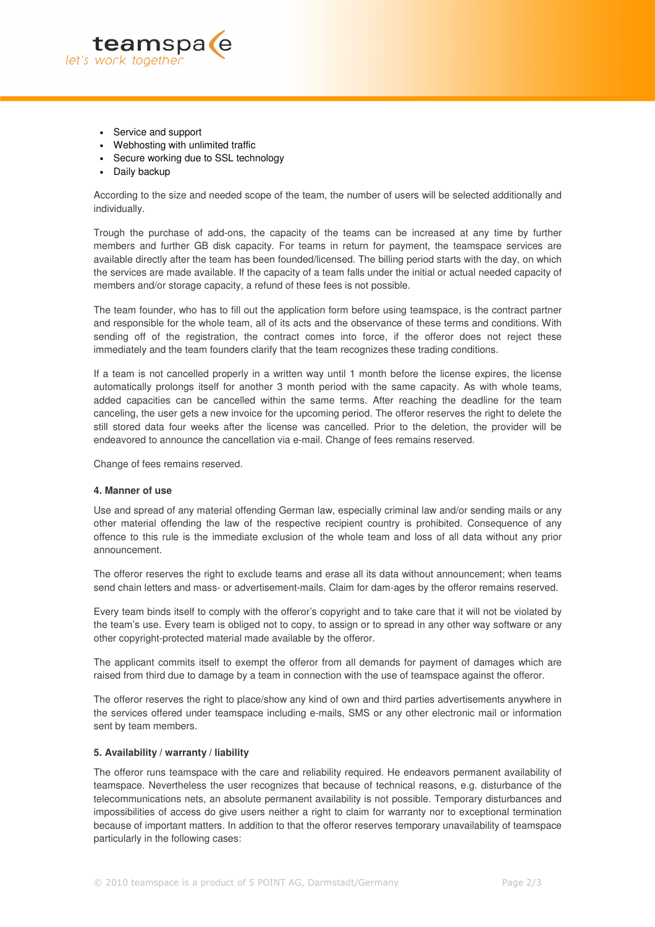

- Service and support
- Webhosting with unlimited traffic
- Secure working due to SSL technology
- Daily backup

According to the size and needed scope of the team, the number of users will be selected additionally and individually.

Trough the purchase of add-ons, the capacity of the teams can be increased at any time by further members and further GB disk capacity. For teams in return for payment, the teamspace services are available directly after the team has been founded/licensed. The billing period starts with the day, on which the services are made available. If the capacity of a team falls under the initial or actual needed capacity of members and/or storage capacity, a refund of these fees is not possible.

The team founder, who has to fill out the application form before using teamspace, is the contract partner and responsible for the whole team, all of its acts and the observance of these terms and conditions. With sending off of the registration, the contract comes into force, if the offeror does not reject these immediately and the team founders clarify that the team recognizes these trading conditions.

If a team is not cancelled properly in a written way until 1 month before the license expires, the license automatically prolongs itself for another 3 month period with the same capacity. As with whole teams, added capacities can be cancelled within the same terms. After reaching the deadline for the team canceling, the user gets a new invoice for the upcoming period. The offeror reserves the right to delete the still stored data four weeks after the license was cancelled. Prior to the deletion, the provider will be endeavored to announce the cancellation via e-mail. Change of fees remains reserved.

Change of fees remains reserved.

#### **4. Manner of use**

Use and spread of any material offending German law, especially criminal law and/or sending mails or any other material offending the law of the respective recipient country is prohibited. Consequence of any offence to this rule is the immediate exclusion of the whole team and loss of all data without any prior announcement.

The offeror reserves the right to exclude teams and erase all its data without announcement; when teams send chain letters and mass- or advertisement-mails. Claim for dam-ages by the offeror remains reserved.

Every team binds itself to comply with the offeror's copyright and to take care that it will not be violated by the team's use. Every team is obliged not to copy, to assign or to spread in any other way software or any other copyright-protected material made available by the offeror.

The applicant commits itself to exempt the offeror from all demands for payment of damages which are raised from third due to damage by a team in connection with the use of teamspace against the offeror.

The offeror reserves the right to place/show any kind of own and third parties advertisements anywhere in the services offered under teamspace including e-mails, SMS or any other electronic mail or information sent by team members.

#### **5. Availability / warranty / liability**

The offeror runs teamspace with the care and reliability required. He endeavors permanent availability of teamspace. Nevertheless the user recognizes that because of technical reasons, e.g. disturbance of the telecommunications nets, an absolute permanent availability is not possible. Temporary disturbances and impossibilities of access do give users neither a right to claim for warranty nor to exceptional termination because of important matters. In addition to that the offeror reserves temporary unavailability of teamspace particularly in the following cases: